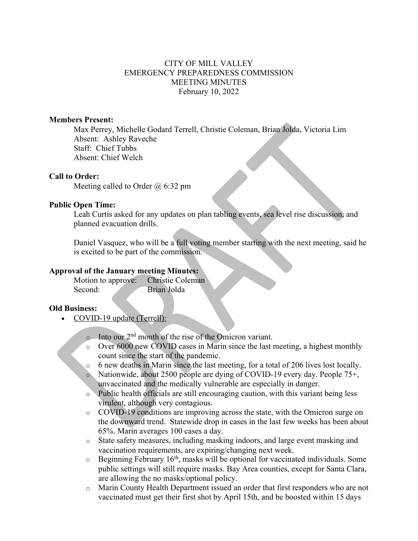## CITY OF MILL VALLEY EMERGENCY PREPAREDNESS COMMISSION MEETING MINUTES February 10, 2022

### **Members Present:**

Max Perrey, Michelle Godard Terrell, Christie Coleman, Brian Jolda, Victoria Lim Absent: Ashley Raveche Staff: Chief Tubbs Absent: Chief Welch

## **Call to Order:**

Meeting called to Order @ 6:32 pm

### **Public Open Time:**

Leah Curtis asked for any updates on plan tabling events, sea level rise discussion, and planned evacuation drills.

Daniel Vasquez, who will be a full voting member starting with the next meeting, said he is excited to be part of the commission.

### **Approval of the January meeting Minutes:**

Motion to approve: Christie Coleman Second: Brian Jolda

## **Old Business:**

- COVID-19 update (Terrell):
	- o Into our 2nd month of the rise of the Omicron variant.
	- o Over 6000 new COVID cases in Marin since the last meeting, a highest monthly count since the start of the pandemic.
	- o 6 new deaths in Marin since the last meeting, for a total of 206 lives lost locally.
	- o Nationwide, about 2500 people are dying of COVID-19 every day. People 75+, unvaccinated and the medically vulnerable are especially in danger.
	- o Public health officials are still encouraging caution, with this variant being less virulent, although very contagious.
	- o COVID-19 conditions are improving across the state, with the Omicron surge on the downward trend. Statewide drop in cases in the last few weeks has been about 65%. Marin averages 100 cases a day.
	- o State safety measures, including masking indoors, and large event masking and vaccination requirements, are expiring/changing next week.
	- $\circ$  Beginning February 16<sup>th</sup>, masks will be optional for vaccinated individuals. Some public settings will still require masks. Bay Area counties, except for Santa Clara, are allowing the no masks/optional policy.
	- o Marin County Health Department issued an order that first responders who are not vaccinated must get their first shot by April 15th, and be boosted within 15 days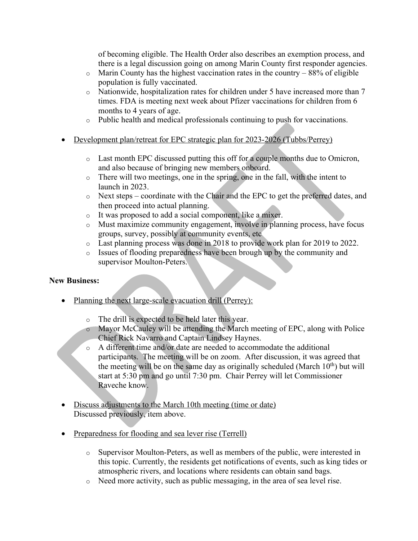of becoming eligible. The Health Order also describes an exemption process, and there is a legal discussion going on among Marin County first responder agencies.

- $\circ$  Marin County has the highest vaccination rates in the country 88% of eligible population is fully vaccinated.
- o Nationwide, hospitalization rates for children under 5 have increased more than 7 times. FDA is meeting next week about Pfizer vaccinations for children from 6 months to 4 years of age.
- o Public health and medical professionals continuing to push for vaccinations.
- Development plan/retreat for EPC strategic plan for 2023-2026 (Tubbs/Perrey)
	- o Last month EPC discussed putting this off for a couple months due to Omicron, and also because of bringing new members onboard.
	- o There will two meetings, one in the spring, one in the fall, with the intent to launch in 2023.
	- o Next steps coordinate with the Chair and the EPC to get the preferred dates, and then proceed into actual planning.
	- o It was proposed to add a social component, like a mixer.
	- o Must maximize community engagement, involve in planning process, have focus groups, survey, possibly at community events, etc
	- o Last planning process was done in 2018 to provide work plan for 2019 to 2022.
	- o Issues of flooding preparedness have been brough up by the community and supervisor Moulton-Peters.

# **New Business:**

- Planning the next large-scale evacuation drill (Perrey):
	- o The drill is expected to be held later this year.
	- o Mayor McCauley will be attending the March meeting of EPC, along with Police Chief Rick Navarro and Captain Lindsey Haynes.
	- o A different time and/or date are needed to accommodate the additional participants. The meeting will be on zoom. After discussion, it was agreed that the meeting will be on the same day as originally scheduled (March  $10<sup>th</sup>$ ) but will start at 5:30 pm and go until 7:30 pm. Chair Perrey will let Commissioner Raveche know.
- Discuss adjustments to the March 10th meeting (time or date) Discussed previously, item above.
- Preparedness for flooding and sea lever rise (Terrell)
	- o Supervisor Moulton-Peters, as well as members of the public, were interested in this topic. Currently, the residents get notifications of events, such as king tides or atmospheric rivers, and locations where residents can obtain sand bags.
	- o Need more activity, such as public messaging, in the area of sea level rise.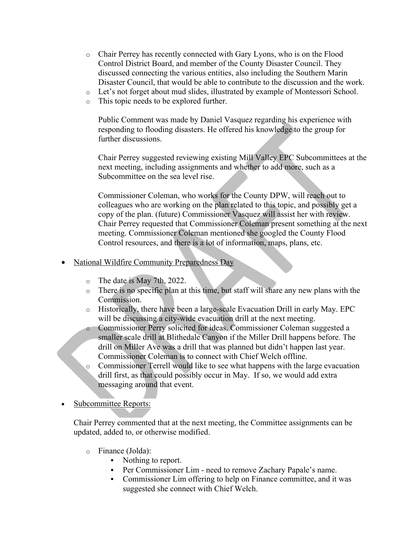- o Chair Perrey has recently connected with Gary Lyons, who is on the Flood Control District Board, and member of the County Disaster Council. They discussed connecting the various entities, also including the Southern Marin Disaster Council, that would be able to contribute to the discussion and the work.
- o Let's not forget about mud slides, illustrated by example of Montessori School.
- o This topic needs to be explored further.

Public Comment was made by Daniel Vasquez regarding his experience with responding to flooding disasters. He offered his knowledge to the group for further discussions.

Chair Perrey suggested reviewing existing Mill Valley EPC Subcommittees at the next meeting, including assignments and whether to add more, such as a Subcommittee on the sea level rise.

Commissioner Coleman, who works for the County DPW, will reach out to colleagues who are working on the plan related to this topic, and possibly get a copy of the plan. (future) Commissioner Vasquez will assist her with review. Chair Perrey requested that Commissioner Coleman present something at the next meeting. Commissioner Coleman mentioned she googled the County Flood Control resources, and there is a lot of information, maps, plans, etc.

- National Wildfire Community Preparedness Day
	- o The date is May 7th, 2022.
	- o There is no specific plan at this time, but staff will share any new plans with the Commission.
	- o Historically, there have been a large-scale Evacuation Drill in early May. EPC will be discussing a city-wide evacuation drill at the next meeting.
	- o Commissioner Perry solicited for ideas. Commissioner Coleman suggested a smaller scale drill at Blithedale Canyon if the Miller Drill happens before. The drill on Miller Ave was a drill that was planned but didn't happen last year. Commissioner Coleman is to connect with Chief Welch offline.
	- Commissioner Terrell would like to see what happens with the large evacuation drill first, as that could possibly occur in May. If so, we would add extra messaging around that event.
- Subcommittee Reports:

Chair Perrey commented that at the next meeting, the Committee assignments can be updated, added to, or otherwise modified.

- o Finance (Jolda):
	- Nothing to report.
	- Per Commissioner Lim need to remove Zachary Papale's name.
	- Commissioner Lim offering to help on Finance committee, and it was suggested she connect with Chief Welch.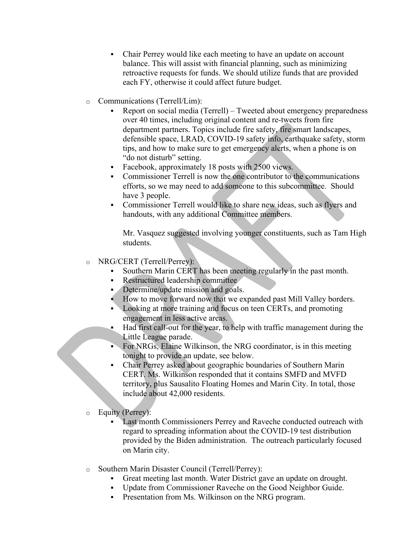- Chair Perrey would like each meeting to have an update on account balance. This will assist with financial planning, such as minimizing retroactive requests for funds. We should utilize funds that are provided each FY, otherwise it could affect future budget.
- o Communications (Terrell/Lim):
	- § Report on social media (Terrell) Tweeted about emergency preparedness over 40 times, including original content and re-tweets from fire department partners. Topics include fire safety, fire smart landscapes, defensible space, LRAD, COVID-19 safety info, earthquake safety, storm tips, and how to make sure to get emergency alerts, when a phone is on "do not disturb" setting.
	- Facebook, approximately 18 posts with 2500 views.
	- Commissioner Terrell is now the one contributor to the communications efforts, so we may need to add someone to this subcommittee. Should have 3 people.
	- § Commissioner Terrell would like to share new ideas, such as flyers and handouts, with any additional Committee members.

Mr. Vasquez suggested involving younger constituents, such as Tam High students.

## o NRG/CERT (Terrell/Perrey):

- § Southern Marin CERT has been meeting regularly in the past month.
- § Restructured leadership committee
- Determine/update mission and goals.
- § How to move forward now that we expanded past Mill Valley borders.
- Looking at more training and focus on teen CERTs, and promoting engagement in less active areas.
- Had first call-out for the year, to help with traffic management during the Little League parade.
- For NRGs, Elaine Wilkinson, the NRG coordinator, is in this meeting tonight to provide an update, see below.
- § Chair Perrey asked about geographic boundaries of Southern Marin CERT. Ms. Wilkinson responded that it contains SMFD and MVFD territory, plus Sausalito Floating Homes and Marin City. In total, those include about 42,000 residents.
- o Equity (Perrey):
	- Last month Commissioners Perrey and Raveche conducted outreach with regard to spreading information about the COVID-19 test distribution provided by the Biden administration. The outreach particularly focused on Marin city.
- o Southern Marin Disaster Council (Terrell/Perrey):
	- Great meeting last month. Water District gave an update on drought.
	- § Update from Commissioner Raveche on the Good Neighbor Guide.
	- Presentation from Ms. Wilkinson on the NRG program.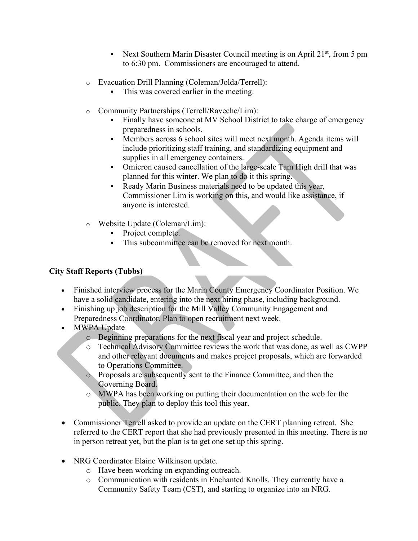- Next Southern Marin Disaster Council meeting is on April 21<sup>st</sup>, from 5 pm to 6:30 pm. Commissioners are encouraged to attend.
- o Evacuation Drill Planning (Coleman/Jolda/Terrell):
	- This was covered earlier in the meeting.
- o Community Partnerships (Terrell/Raveche/Lim):
	- Finally have someone at MV School District to take charge of emergency preparedness in schools.
	- Members across 6 school sites will meet next month. Agenda items will include prioritizing staff training, and standardizing equipment and supplies in all emergency containers.
	- Omicron caused cancellation of the large-scale Tam High drill that was planned for this winter. We plan to do it this spring.
	- Ready Marin Business materials need to be updated this year, Commissioner Lim is working on this, and would like assistance, if anyone is interested.
- o Website Update (Coleman/Lim):
	- Project complete.
	- This subcommittee can be removed for next month.

# **City Staff Reports (Tubbs)**

- Finished interview process for the Marin County Emergency Coordinator Position. We have a solid candidate, entering into the next hiring phase, including background.
- Finishing up job description for the Mill Valley Community Engagement and Preparedness Coordinator. Plan to open recruitment next week.
- MWPA Update
	- o Beginning preparations for the next fiscal year and project schedule.
	- o Technical Advisory Committee reviews the work that was done, as well as CWPP and other relevant documents and makes project proposals, which are forwarded to Operations Committee.
	- o Proposals are subsequently sent to the Finance Committee, and then the Governing Board.
	- o MWPA has been working on putting their documentation on the web for the public. They plan to deploy this tool this year.
- Commissioner Terrell asked to provide an update on the CERT planning retreat. She referred to the CERT report that she had previously presented in this meeting. There is no in person retreat yet, but the plan is to get one set up this spring.
- NRG Coordinator Elaine Wilkinson update.
	- o Have been working on expanding outreach.
	- o Communication with residents in Enchanted Knolls. They currently have a Community Safety Team (CST), and starting to organize into an NRG.